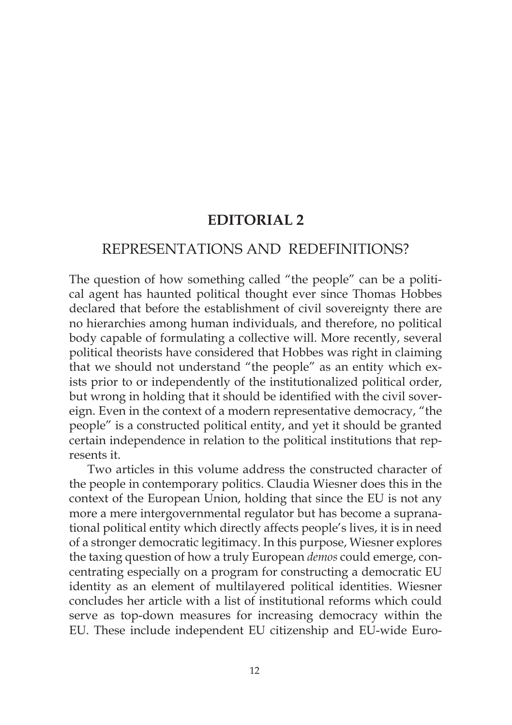# **EDITORIAL 2**

## REPRESENTATIONS AND REDEFINITIONS?

The question of how something called "the people" can be a political agent has haunted political thought ever since Thomas Hobbes declared that before the establishment of civil sovereignty there are no hierarchies among human individuals, and therefore, no political body capable of formulating a collective will. More recently, several political theorists have considered that Hobbes was right in claiming that we should not understand "the people" as an entity which exists prior to or independently of the institutionalized political order, but wrong in holding that it should be identified with the civil sovereign. Even in the context of a modern representative democracy, "the people" is a constructed political entity, and yet it should be granted certain independence in relation to the political institutions that represents it.

Two articles in this volume address the constructed character of the people in contemporary politics. Claudia Wiesner does this in the context of the European Union, holding that since the EU is not any more a mere intergovernmental regulator but has become a supranational political entity which directly affects people's lives, it is in need of a stronger democratic legitimacy. In this purpose, Wiesner explores the taxing question of how a truly European *demos* could emerge, concentrating especially on a program for constructing a democratic EU identity as an element of multilayered political identities. Wiesner concludes her article with a list of institutional reforms which could serve as top-down measures for increasing democracy within the EU. These include independent EU citizenship and EU-wide Euro-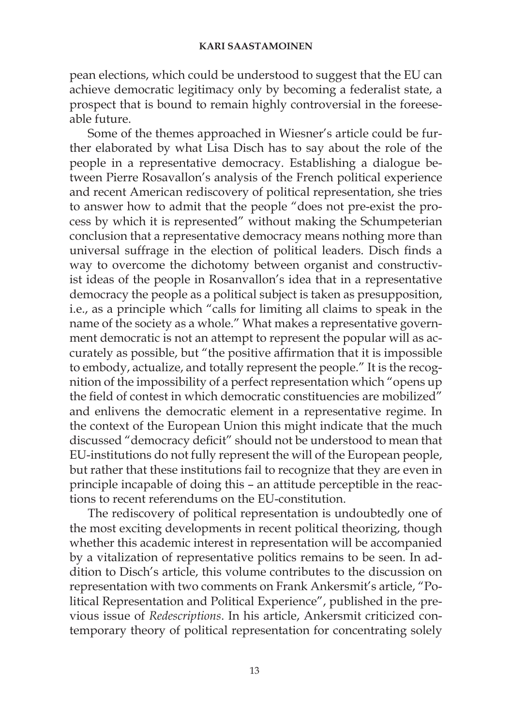#### **KARI SAASTAMOINEN**

pean elections, which could be understood to suggest that the EU can achieve democratic legitimacy only by becoming a federalist state, a prospect that is bound to remain highly controversial in the foreeseable future.

Some of the themes approached in Wiesner's article could be further elaborated by what Lisa Disch has to say about the role of the people in a representative democracy. Establishing a dialogue between Pierre Rosavallon's analysis of the French political experience and recent American rediscovery of political representation, she tries to answer how to admit that the people "does not pre-exist the process by which it is represented" without making the Schumpeterian conclusion that a representative democracy means nothing more than universal suffrage in the election of political leaders. Disch finds a way to overcome the dichotomy between organist and constructivist ideas of the people in Rosanvallon's idea that in a representative democracy the people as a political subject is taken as presupposition, i.e., as a principle which "calls for limiting all claims to speak in the name of the society as a whole." What makes a representative government democratic is not an attempt to represent the popular will as accurately as possible, but "the positive affirmation that it is impossible to embody, actualize, and totally represent the people." It is the recognition of the impossibility of a perfect representation which "opens up the field of contest in which democratic constituencies are mobilized" and enlivens the democratic element in a representative regime. In the context of the European Union this might indicate that the much discussed "democracy deficit" should not be understood to mean that EU-institutions do not fully represent the will of the European people, but rather that these institutions fail to recognize that they are even in principle incapable of doing this – an attitude perceptible in the reactions to recent referendums on the EU-constitution.

The rediscovery of political representation is undoubtedly one of the most exciting developments in recent political theorizing, though whether this academic interest in representation will be accompanied by a vitalization of representative politics remains to be seen. In addition to Disch's article, this volume contributes to the discussion on representation with two comments on Frank Ankersmit's article, "Political Representation and Political Experience", published in the previous issue of *Redescriptions*. In his article, Ankersmit criticized contemporary theory of political representation for concentrating solely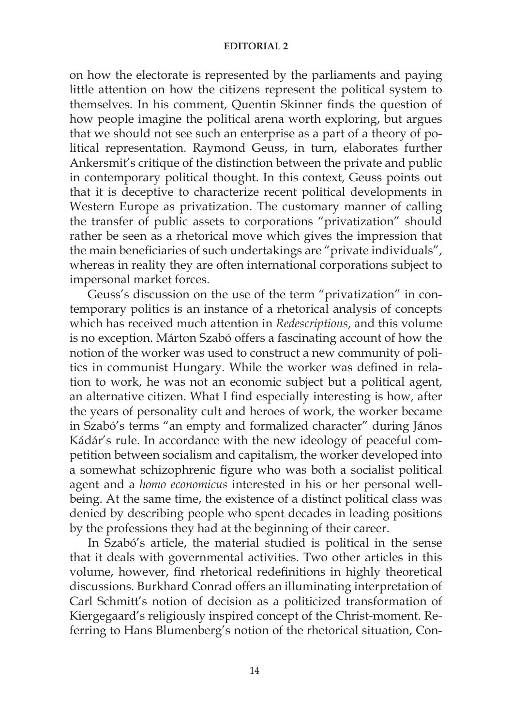#### **EDITORIAL 2**

on how the electorate is represented by the parliaments and paying little attention on how the citizens represent the political system to themselves. In his comment, Quentin Skinner finds the question of how people imagine the political arena worth exploring, but argues that we should not see such an enterprise as a part of a theory of political representation. Raymond Geuss, in turn, elaborates further Ankersmit's critique of the distinction between the private and public in contemporary political thought. In this context, Geuss points out that it is deceptive to characterize recent political developments in Western Europe as privatization. The customary manner of calling the transfer of public assets to corporations "privatization" should rather be seen as a rhetorical move which gives the impression that the main beneficiaries of such undertakings are "private individuals", whereas in reality they are often international corporations subject to impersonal market forces.

Geuss's discussion on the use of the term "privatization" in contemporary politics is an instance of a rhetorical analysis of concepts which has received much attention in *Redescriptions*, and this volume is no exception. Márton Szabó offers a fascinating account of how the notion of the worker was used to construct a new community of politics in communist Hungary. While the worker was defined in relation to work, he was not an economic subject but a political agent, an alternative citizen. What I find especially interesting is how, after the years of personality cult and heroes of work, the worker became in Szabó's terms "an empty and formalized character" during János Kádár's rule. In accordance with the new ideology of peaceful competition between socialism and capitalism, the worker developed into a somewhat schizophrenic figure who was both a socialist political agent and a *homo economicus* interested in his or her personal wellbeing. At the same time, the existence of a distinct political class was denied by describing people who spent decades in leading positions by the professions they had at the beginning of their career.

In Szabó's article, the material studied is political in the sense that it deals with governmental activities. Two other articles in this volume, however, find rhetorical redefinitions in highly theoretical discussions. Burkhard Conrad offers an illuminating interpretation of Carl Schmitt's notion of decision as a politicized transformation of Kiergegaard's religiously inspired concept of the Christ-moment. Referring to Hans Blumenberg's notion of the rhetorical situation, Con